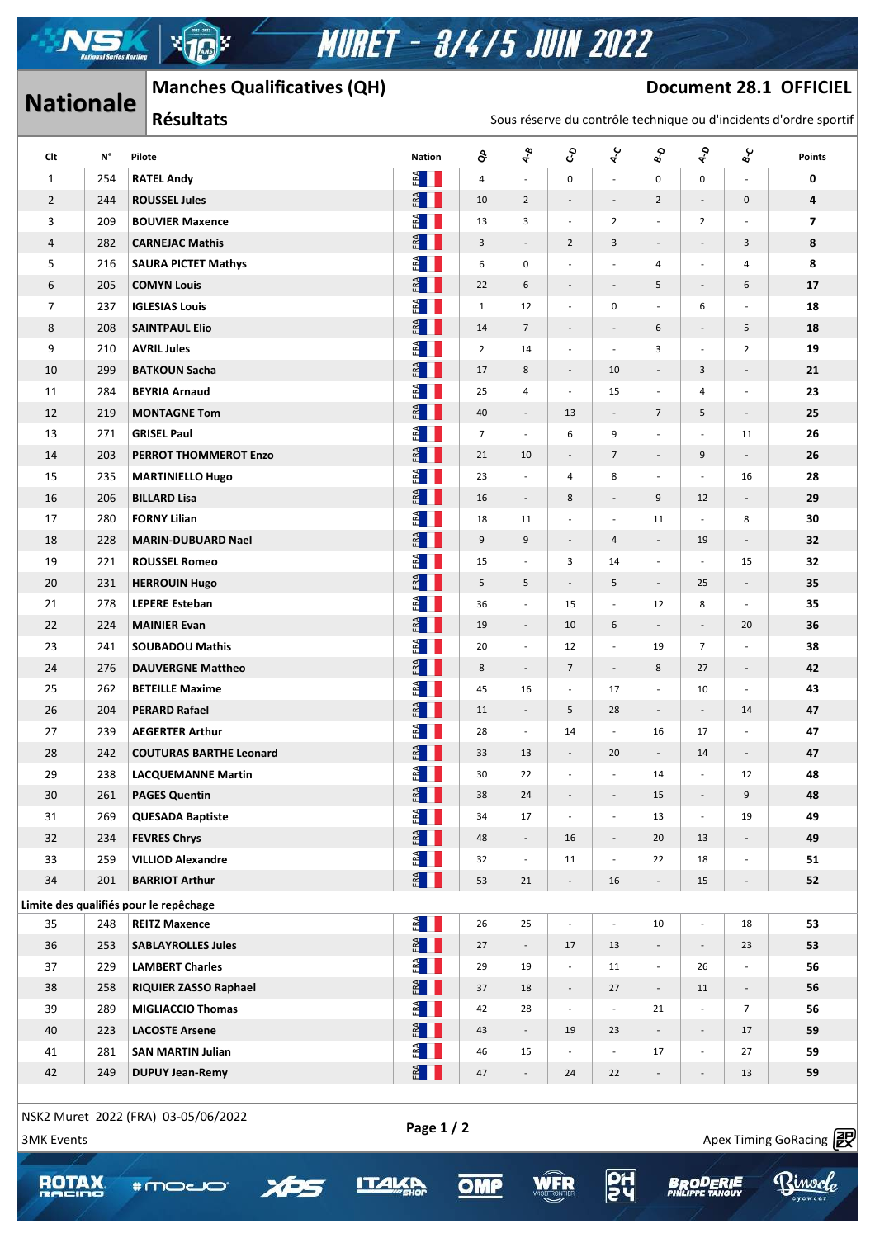## IV.

# **Nationale** Manches Qualificatives (QH) **Document 28.1 OFFICIEL**

 $\mathcal{A}$  , and  $\mathcal{A}$  approximately success https://www.apex-timing.com/

### Sous réserve du contrôle technique ou d'incidents d'ordre sportif

| <b>Nationale</b>  |     | <br><b>Résultats</b>                   |                                                        | Sous réserve du contrôle technique ou d'incidents d'ordre sportif |                           |                          |                              |                                        |                          |                              |                          |  |  |
|-------------------|-----|----------------------------------------|--------------------------------------------------------|-------------------------------------------------------------------|---------------------------|--------------------------|------------------------------|----------------------------------------|--------------------------|------------------------------|--------------------------|--|--|
| Clt               | N°  | Pilote                                 | <b>Nation</b>                                          | $\delta$                                                          | $\mathbf{r}^{\mathbf{p}}$ | ද                        | $\mathbf{x}^{\mathbf{b}}$    | $\mathbf{e}_{\mathbf{e}}^{\mathbf{Q}}$ | ई                        | م<br>ه                       | <b>Points</b>            |  |  |
| $\mathbf{1}$      | 254 | <b>RATEL Andy</b>                      | $F_{\text{R}}$                                         | $\sqrt{4}$                                                        | $\overline{\phantom{a}}$  | 0                        | $\overline{\phantom{a}}$     | $\pmb{0}$                              | $\pmb{0}$                |                              | 0                        |  |  |
| $\overline{2}$    | 244 | <b>ROUSSEL Jules</b>                   | E                                                      | 10                                                                | $\overline{2}$            | $\overline{\phantom{a}}$ | $\overline{\phantom{a}}$     | $\overline{2}$                         | $\overline{\phantom{a}}$ | $\pmb{0}$                    | 4                        |  |  |
| 3                 | 209 | <b>BOUVIER Maxence</b>                 | $F^{\mathbf{A}}$                                       | 13                                                                | 3                         | $\overline{\phantom{a}}$ | $\overline{2}$               | $\overline{a}$                         | $\overline{2}$           | $\overline{a}$               | $\overline{\phantom{a}}$ |  |  |
| 4                 | 282 | <b>CARNEJAC Mathis</b>                 | E                                                      | $\overline{3}$                                                    | $\overline{\phantom{a}}$  | $\overline{2}$           | 3                            | $\frac{1}{2}$                          | $\overline{\phantom{a}}$ | 3                            | 8                        |  |  |
| 5                 | 216 | <b>SAURA PICTET Mathys</b>             | $F_{\text{R}}$                                         | $\boldsymbol{6}$                                                  | $\mathbf 0$               | $\overline{\phantom{a}}$ | $\overline{a}$               | 4                                      | $\overline{\phantom{a}}$ | $\overline{4}$               | 8                        |  |  |
| 6                 | 205 | <b>COMYN Louis</b>                     | E                                                      | 22                                                                | 6                         | $\overline{\phantom{a}}$ | $\overline{\phantom{a}}$     | 5                                      | $\overline{\phantom{a}}$ | 6                            | 17                       |  |  |
| 7                 | 237 | <b>IGLESIAS Louis</b>                  | E                                                      | $\mathbf{1}$                                                      | 12                        | $\overline{\phantom{a}}$ | $\pmb{0}$                    | $\overline{\phantom{m}}$               | 6                        | $\overline{a}$               | 18                       |  |  |
| 8                 | 208 | <b>SAINTPAUL Elio</b>                  | E                                                      | 14                                                                | $\overline{7}$            | $\overline{\phantom{a}}$ | $\qquad \qquad \blacksquare$ | 6                                      | $\overline{\phantom{a}}$ | 5                            | 18                       |  |  |
| 9                 | 210 | <b>AVRIL Jules</b>                     | $\begin{array}{c} 2 \ \text{R} \ \text{N} \end{array}$ | $\overline{2}$                                                    | 14                        | $\overline{\phantom{a}}$ | $\overline{\phantom{a}}$     | 3                                      | $\overline{\phantom{a}}$ | $\mathbf 2$                  | 19                       |  |  |
| 10                | 299 | <b>BATKOUN Sacha</b>                   | FA                                                     | 17                                                                | 8                         | $\overline{\phantom{a}}$ | 10                           | $\overline{\phantom{a}}$               | 3                        | $\qquad \qquad \blacksquare$ | 21                       |  |  |
| 11                | 284 | <b>BEYRIA Arnaud</b>                   | FA                                                     | 25                                                                | 4                         | $\overline{\phantom{a}}$ | 15                           | $\overline{a}$                         | 4                        | $\overline{a}$               | 23                       |  |  |
| 12                | 219 | <b>MONTAGNE Tom</b>                    | E                                                      | 40                                                                | $\overline{\phantom{a}}$  | 13                       | $\overline{\phantom{a}}$     | $\overline{7}$                         | 5                        | $\overline{\phantom{a}}$     | 25                       |  |  |
| 13                | 271 | <b>GRISEL Paul</b>                     | E                                                      | $\overline{7}$                                                    | $\overline{\phantom{a}}$  | 6                        | 9                            | $\overline{\phantom{a}}$               |                          | 11                           | 26                       |  |  |
| 14                | 203 | PERROT THOMMEROT Enzo                  | E                                                      | 21                                                                | 10                        | $\overline{\phantom{a}}$ | $\overline{7}$               | $\overline{\phantom{a}}$               | 9                        |                              | 26                       |  |  |
| 15                | 235 | <b>MARTINIELLO Hugo</b>                | $\frac{1}{2}$                                          | 23                                                                | $\overline{\phantom{a}}$  | 4                        | 8                            | $\frac{1}{2}$                          | $\overline{\phantom{a}}$ | 16                           | 28                       |  |  |
| 16                | 206 | <b>BILLARD Lisa</b>                    | E                                                      | 16                                                                | $\overline{\phantom{a}}$  | 8                        | $\overline{\phantom{a}}$     | 9                                      | 12                       | $\frac{1}{2}$                | 29                       |  |  |
| 17                | 280 | <b>FORNY Lilian</b>                    | $E = \frac{1}{2}$                                      | 18                                                                | 11                        | $\overline{\phantom{a}}$ | $\overline{\phantom{a}}$     | 11                                     | $\overline{\phantom{a}}$ | 8                            | 30                       |  |  |
| 18                | 228 | <b>MARIN-DUBUARD Nael</b>              | E                                                      | 9                                                                 | 9                         | $\overline{\phantom{a}}$ | $\overline{4}$               | $\frac{1}{2}$                          | 19                       |                              | 32                       |  |  |
| 19                | 221 | <b>ROUSSEL Romeo</b>                   | $E = \frac{1}{2}$                                      | 15                                                                | $\overline{\phantom{a}}$  | 3                        | 14                           | $\overline{\phantom{a}}$               | $\overline{\phantom{a}}$ | 15                           | 32                       |  |  |
| 20                | 231 | <b>HERROUIN Hugo</b>                   | E                                                      | 5                                                                 | 5                         | $\overline{\phantom{a}}$ | 5                            | $\overline{\phantom{a}}$               | 25                       | $\overline{\phantom{a}}$     | 35                       |  |  |
| 21                | 278 | <b>LEPERE Esteban</b>                  | FA                                                     | 36                                                                | $\overline{a}$            | 15                       | $\overline{\phantom{a}}$     | 12                                     | 8                        | $\overline{\phantom{a}}$     | 35                       |  |  |
| 22                | 224 | <b>MAINIER Evan</b>                    | E                                                      | 19                                                                | $\overline{\phantom{a}}$  | 10                       | 6                            | $\overline{\phantom{a}}$               | $\overline{\phantom{a}}$ | 20                           | 36                       |  |  |
| 23                | 241 | <b>SOUBADOU Mathis</b>                 | FA                                                     | 20                                                                | $\overline{\phantom{a}}$  | 12                       | $\overline{\phantom{a}}$     | 19                                     | $\overline{7}$           |                              | 38                       |  |  |
| 24                | 276 | <b>DAUVERGNE Mattheo</b>               | E                                                      | 8                                                                 | $\overline{\phantom{a}}$  | $\overline{7}$           | $\overline{\phantom{a}}$     | 8                                      | 27                       | $\overline{\phantom{a}}$     | 42                       |  |  |
| 25                | 262 | <b>BETEILLE Maxime</b>                 | FA                                                     | 45                                                                | 16                        | $\overline{\phantom{a}}$ | 17                           | $\overline{\phantom{a}}$               | 10                       | $\overline{a}$               | 43                       |  |  |
| 26                | 204 | <b>PERARD Rafael</b>                   | E                                                      | 11                                                                | $\overline{\phantom{a}}$  | 5                        | 28                           | $\overline{\phantom{a}}$               | $\overline{\phantom{a}}$ | 14                           | 47                       |  |  |
| 27                | 239 | <b>AEGERTER Arthur</b>                 | E                                                      | 28                                                                | $\overline{\phantom{a}}$  | 14                       | $\overline{\phantom{a}}$     | 16                                     | 17                       | $\overline{a}$               | 47                       |  |  |
| 28                | 242 | <b>COUTURAS BARTHE Leonard</b>         | ERA                                                    | 33                                                                | 13                        |                          | 20                           |                                        | 14                       |                              | 47                       |  |  |
| 29                | 238 | <b>LACQUEMANNE Martin</b>              | $\frac{d}{dt}$ $\blacksquare$                          | 30                                                                | 22                        | $\overline{\phantom{a}}$ | $\overline{\phantom{a}}$     | 14                                     |                          | 12                           | 48                       |  |  |
| 30                | 261 | <b>PAGES Quentin</b>                   | E                                                      | 38                                                                | 24                        | $\overline{\phantom{a}}$ | $\overline{\phantom{a}}$     | 15                                     | ۰                        | 9                            | 48                       |  |  |
| 31                | 269 | <b>QUESADA Baptiste</b>                | E                                                      | 34                                                                | 17                        | $\overline{\phantom{a}}$ | $\overline{\phantom{a}}$     | 13                                     | $\overline{\phantom{a}}$ | 19                           | 49                       |  |  |
| 32                | 234 | <b>FEVRES Chrys</b>                    | E                                                      | 48                                                                | $\overline{\phantom{a}}$  | 16                       | $\overline{\phantom{a}}$     | 20                                     | 13                       |                              | 49                       |  |  |
| 33                | 259 | <b>VILLIOD Alexandre</b>               | $F^{\mathbf{A}}$                                       | 32                                                                | $\overline{\phantom{a}}$  | 11                       | $\overline{\phantom{a}}$     | 22                                     | 18                       | -                            | 51                       |  |  |
| 34                | 201 | <b>BARRIOT Arthur</b>                  | E                                                      | 53                                                                | 21                        | $\overline{\phantom{a}}$ | 16                           | $\overline{\phantom{a}}$               | 15                       | $\overline{\phantom{a}}$     | 52                       |  |  |
|                   |     | Limite des qualifiés pour le repêchage |                                                        |                                                                   |                           |                          |                              |                                        |                          |                              |                          |  |  |
| 35                | 248 | <b>REITZ Maxence</b>                   | FA                                                     | 26                                                                | 25                        | $\overline{\phantom{a}}$ | $\overline{\phantom{a}}$     | 10                                     | $\overline{a}$           | 18                           | 53                       |  |  |
| 36                | 253 | <b>SABLAYROLLES Jules</b>              | FA                                                     | 27                                                                | $\overline{\phantom{a}}$  | 17                       | 13                           | $\overline{\phantom{a}}$               | $\overline{\phantom{a}}$ | 23                           | 53                       |  |  |
| 37                | 229 | <b>LAMBERT Charles</b>                 | E                                                      | 29                                                                | 19                        | $\overline{\phantom{a}}$ | 11                           | $\overline{\phantom{a}}$               | 26                       |                              | 56                       |  |  |
| 38                | 258 | RIQUIER ZASSO Raphael                  | E                                                      | 37                                                                | 18                        | $\overline{\phantom{a}}$ | 27                           | $\overline{\phantom{a}}$               | 11                       | $\overline{\phantom{a}}$     | 56                       |  |  |
| 39                | 289 | <b>MIGLIACCIO Thomas</b>               | $E = \frac{1}{2}$                                      | 42                                                                | 28                        | $\overline{\phantom{a}}$ | $\overline{\phantom{a}}$     | 21                                     | $\overline{\phantom{m}}$ | $\overline{7}$               | 56                       |  |  |
| 40                | 223 | <b>LACOSTE Arsene</b>                  | E                                                      | 43                                                                | $\overline{\phantom{a}}$  | 19                       | 23                           | $\overline{\phantom{a}}$               | $\overline{\phantom{a}}$ | 17                           | 59                       |  |  |
| 41                | 281 | <b>SAN MARTIN Julian</b>               | $F^{\mathbf{A}}$                                       | 46                                                                | 15                        | $\overline{\phantom{a}}$ | $\overline{\phantom{m}}$     | 17                                     |                          | 27                           | 59                       |  |  |
| 42                | 249 | <b>DUPUY Jean-Remy</b>                 | E                                                      | 47                                                                | $\overline{a}$            | 24                       | 22                           |                                        |                          | 13                           | 59                       |  |  |
|                   |     | NSK2 Muret 2022 (FRA) 03-05/06/2022    | Page 1 / 2                                             |                                                                   |                           |                          |                              |                                        |                          |                              |                          |  |  |
| <b>3MK Events</b> |     |                                        |                                                        |                                                                   |                           |                          |                              |                                        |                          |                              | Apex Timing GoRacing 27  |  |  |
|                   |     | <b>AUDICIO</b><br><b>XPS</b>           |                                                        |                                                                   |                           |                          |                              |                                        | <b>BRODERIE</b>          |                              |                          |  |  |

**MURET - 3/4/5 JUIN 2022**